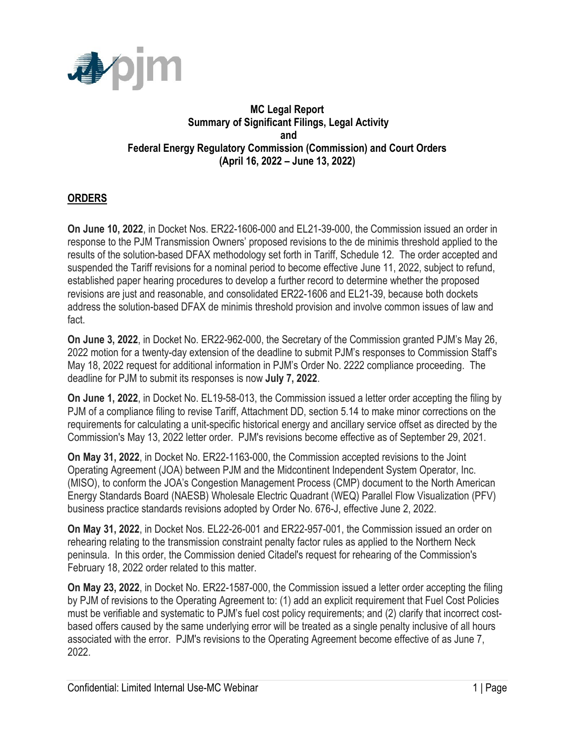

## **MC Legal Report Summary of Significant Filings, Legal Activity and Federal Energy Regulatory Commission (Commission) and Court Orders (April 16, 2022 – June 13, 2022)**

## **ORDERS**

**On June 10, 2022**, in Docket Nos. ER22-1606-000 and EL21-39-000, the Commission issued an order in response to the PJM Transmission Owners' proposed revisions to the de minimis threshold applied to the results of the solution-based DFAX methodology set forth in Tariff, Schedule 12. The order accepted and suspended the Tariff revisions for a nominal period to become effective June 11, 2022, subject to refund, established paper hearing procedures to develop a further record to determine whether the proposed revisions are just and reasonable, and consolidated ER22-1606 and EL21-39, because both dockets address the solution-based DFAX de minimis threshold provision and involve common issues of law and fact.

**On June 3, 2022**, in Docket No. ER22-962-000, the Secretary of the Commission granted PJM's May 26, 2022 motion for a twenty-day extension of the deadline to submit PJM's responses to Commission Staff's May 18, 2022 request for additional information in PJM's Order No. 2222 compliance proceeding. The deadline for PJM to submit its responses is now **July 7, 2022**.

**On June 1, 2022**, in Docket No. EL19-58-013, the Commission issued a letter order accepting the filing by PJM of a compliance filing to revise Tariff, Attachment DD, section 5.14 to make minor corrections on the requirements for calculating a unit-specific historical energy and ancillary service offset as directed by the Commission's May 13, 2022 letter order. PJM's revisions become effective as of September 29, 2021.

**On May 31, 2022**, in Docket No. ER22-1163-000, the Commission accepted revisions to the Joint Operating Agreement (JOA) between PJM and the Midcontinent Independent System Operator, Inc. (MISO), to conform the JOA's Congestion Management Process (CMP) document to the North American Energy Standards Board (NAESB) Wholesale Electric Quadrant (WEQ) Parallel Flow Visualization (PFV) business practice standards revisions adopted by Order No. 676-J, effective June 2, 2022.

**On May 31, 2022**, in Docket Nos. EL22-26-001 and ER22-957-001, the Commission issued an order on rehearing relating to the transmission constraint penalty factor rules as applied to the Northern Neck peninsula. In this order, the Commission denied Citadel's request for rehearing of the Commission's February 18, 2022 order related to this matter.

**On May 23, 2022**, in Docket No. ER22-1587-000, the Commission issued a letter order accepting the filing by PJM of revisions to the Operating Agreement to: (1) add an explicit requirement that Fuel Cost Policies must be verifiable and systematic to PJM's fuel cost policy requirements; and (2) clarify that incorrect costbased offers caused by the same underlying error will be treated as a single penalty inclusive of all hours associated with the error. PJM's revisions to the Operating Agreement become effective of as June 7, 2022.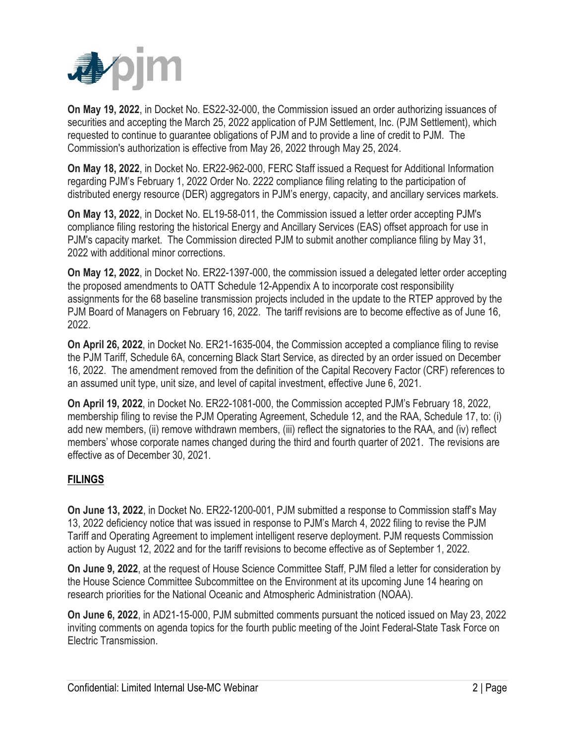

**On May 19, 2022**, in Docket No. ES22-32-000, the Commission issued an order authorizing issuances of securities and accepting the March 25, 2022 application of PJM Settlement, Inc. (PJM Settlement), which requested to continue to guarantee obligations of PJM and to provide a line of credit to PJM. The Commission's authorization is effective from May 26, 2022 through May 25, 2024.

**On May 18, 2022**, in Docket No. ER22-962-000, FERC Staff issued a Request for Additional Information regarding PJM's February 1, 2022 Order No. 2222 compliance filing relating to the participation of distributed energy resource (DER) aggregators in PJM's energy, capacity, and ancillary services markets.

**On May 13, 2022**, in Docket No. EL19-58-011, the Commission issued a letter order accepting PJM's compliance filing restoring the historical Energy and Ancillary Services (EAS) offset approach for use in PJM's capacity market. The Commission directed PJM to submit another compliance filing by May 31, 2022 with additional minor corrections.

**On May 12, 2022**, in Docket No. ER22-1397-000, the commission issued a delegated letter order accepting the proposed amendments to OATT Schedule 12-Appendix A to incorporate cost responsibility assignments for the 68 baseline transmission projects included in the update to the RTEP approved by the PJM Board of Managers on February 16, 2022. The tariff revisions are to become effective as of June 16, 2022.

**On April 26, 2022**, in Docket No. ER21-1635-004, the Commission accepted a compliance filing to revise the PJM Tariff, Schedule 6A, concerning Black Start Service, as directed by an order issued on December 16, 2022. The amendment removed from the definition of the Capital Recovery Factor (CRF) references to an assumed unit type, unit size, and level of capital investment, effective June 6, 2021.

**On April 19, 2022**, in Docket No. ER22-1081-000, the Commission accepted PJM's February 18, 2022, membership filing to revise the PJM Operating Agreement, Schedule 12, and the RAA, Schedule 17, to: (i) add new members, (ii) remove withdrawn members, (iii) reflect the signatories to the RAA, and (iv) reflect members' whose corporate names changed during the third and fourth quarter of 2021. The revisions are effective as of December 30, 2021.

## **FILINGS**

**On June 13, 2022**, in Docket No. ER22-1200-001, PJM submitted a response to Commission staff's May 13, 2022 deficiency notice that was issued in response to PJM's March 4, 2022 filing to revise the PJM Tariff and Operating Agreement to implement intelligent reserve deployment. PJM requests Commission action by August 12, 2022 and for the tariff revisions to become effective as of September 1, 2022.

**On June 9, 2022**, at the request of House Science Committee Staff, PJM filed a letter for consideration by the House Science Committee Subcommittee on the Environment at its upcoming June 14 hearing on research priorities for the National Oceanic and Atmospheric Administration (NOAA).

**On June 6, 2022**, in AD21-15-000, PJM submitted comments pursuant the noticed issued on May 23, 2022 inviting comments on agenda topics for the fourth public meeting of the Joint Federal-State Task Force on Electric Transmission.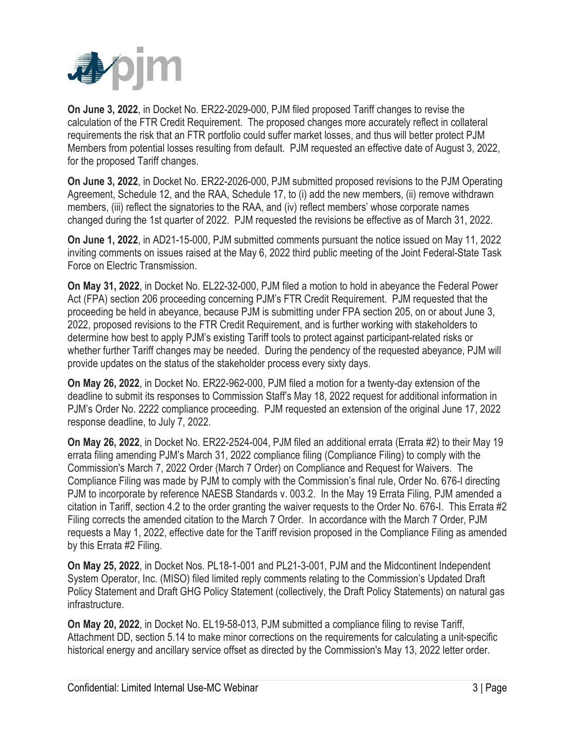

**On June 3, 2022**, in Docket No. ER22-2029-000, PJM filed proposed Tariff changes to revise the calculation of the FTR Credit Requirement. The proposed changes more accurately reflect in collateral requirements the risk that an FTR portfolio could suffer market losses, and thus will better protect PJM Members from potential losses resulting from default. PJM requested an effective date of August 3, 2022, for the proposed Tariff changes.

**On June 3, 2022**, in Docket No. ER22-2026-000, PJM submitted proposed revisions to the PJM Operating Agreement, Schedule 12, and the RAA, Schedule 17, to (i) add the new members, (ii) remove withdrawn members, (iii) reflect the signatories to the RAA, and (iv) reflect members' whose corporate names changed during the 1st quarter of 2022. PJM requested the revisions be effective as of March 31, 2022.

**On June 1, 2022**, in AD21-15-000, PJM submitted comments pursuant the notice issued on May 11, 2022 inviting comments on issues raised at the May 6, 2022 third public meeting of the Joint Federal-State Task Force on Electric Transmission.

**On May 31, 2022**, in Docket No. EL22-32-000, PJM filed a motion to hold in abeyance the Federal Power Act (FPA) section 206 proceeding concerning PJM's FTR Credit Requirement. PJM requested that the proceeding be held in abeyance, because PJM is submitting under FPA section 205, on or about June 3, 2022, proposed revisions to the FTR Credit Requirement, and is further working with stakeholders to determine how best to apply PJM's existing Tariff tools to protect against participant-related risks or whether further Tariff changes may be needed. During the pendency of the requested abeyance, PJM will provide updates on the status of the stakeholder process every sixty days.

**On May 26, 2022**, in Docket No. ER22-962-000, PJM filed a motion for a twenty-day extension of the deadline to submit its responses to Commission Staff's May 18, 2022 request for additional information in PJM's Order No. 2222 compliance proceeding. PJM requested an extension of the original June 17, 2022 response deadline, to July 7, 2022.

**On May 26, 2022**, in Docket No. ER22-2524-004, PJM filed an additional errata (Errata #2) to their May 19 errata filing amending PJM's March 31, 2022 compliance filing (Compliance Filing) to comply with the Commission's March 7, 2022 Order (March 7 Order) on Compliance and Request for Waivers. The Compliance Filing was made by PJM to comply with the Commission's final rule, Order No. 676-I directing PJM to incorporate by reference NAESB Standards v. 003.2. In the May 19 Errata Filing, PJM amended a citation in Tariff, section 4.2 to the order granting the waiver requests to the Order No. 676-I. This Errata #2 Filing corrects the amended citation to the March 7 Order. In accordance with the March 7 Order, PJM requests a May 1, 2022, effective date for the Tariff revision proposed in the Compliance Filing as amended by this Errata #2 Filing.

**On May 25, 2022**, in Docket Nos. PL18-1-001 and PL21-3-001, PJM and the Midcontinent Independent System Operator, Inc. (MISO) filed limited reply comments relating to the Commission's Updated Draft Policy Statement and Draft GHG Policy Statement (collectively, the Draft Policy Statements) on natural gas infrastructure.

**On May 20, 2022**, in Docket No. EL19-58-013, PJM submitted a compliance filing to revise Tariff, Attachment DD, section 5.14 to make minor corrections on the requirements for calculating a unit-specific historical energy and ancillary service offset as directed by the Commission's May 13, 2022 letter order.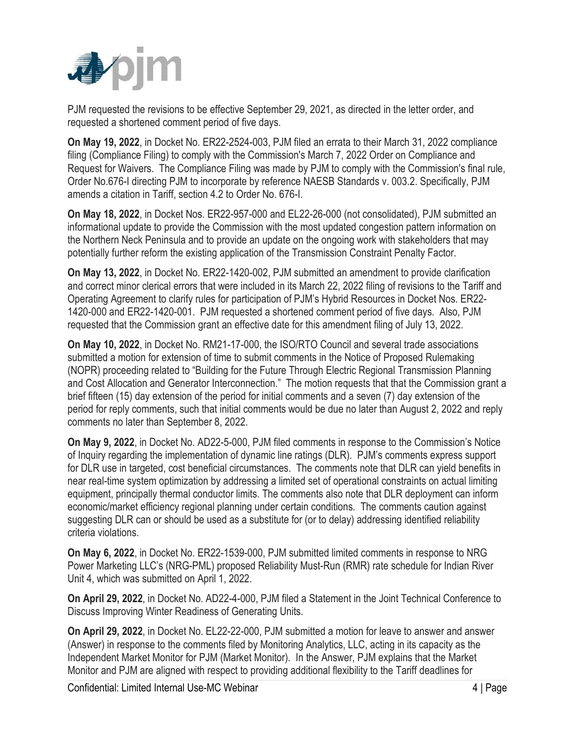

PJM requested the revisions to be effective September 29, 2021, as directed in the letter order, and requested a shortened comment period of five days.

**On May 19, 2022**, in Docket No. ER22-2524-003, PJM filed an errata to their March 31, 2022 compliance filing (Compliance Filing) to comply with the Commission's March 7, 2022 Order on Compliance and Request for Waivers. The Compliance Filing was made by PJM to comply with the Commission's final rule, Order No.676-I directing PJM to incorporate by reference NAESB Standards v. 003.2. Specifically, PJM amends a citation in Tariff, section 4.2 to Order No. 676-I.

**On May 18, 2022**, in Docket Nos. ER22-957-000 and EL22-26-000 (not consolidated), PJM submitted an informational update to provide the Commission with the most updated congestion pattern information on the Northern Neck Peninsula and to provide an update on the ongoing work with stakeholders that may potentially further reform the existing application of the Transmission Constraint Penalty Factor.

**On May 13, 2022**, in Docket No. ER22-1420-002, PJM submitted an amendment to provide clarification and correct minor clerical errors that were included in its March 22, 2022 filing of revisions to the Tariff and Operating Agreement to clarify rules for participation of PJM's Hybrid Resources in Docket Nos. ER22- 1420-000 and ER22-1420-001. PJM requested a shortened comment period of five days. Also, PJM requested that the Commission grant an effective date for this amendment filing of July 13, 2022.

**On May 10, 2022**, in Docket No. RM21-17-000, the ISO/RTO Council and several trade associations submitted a motion for extension of time to submit comments in the Notice of Proposed Rulemaking (NOPR) proceeding related to "Building for the Future Through Electric Regional Transmission Planning and Cost Allocation and Generator Interconnection." The motion requests that that the Commission grant a brief fifteen (15) day extension of the period for initial comments and a seven (7) day extension of the period for reply comments, such that initial comments would be due no later than August 2, 2022 and reply comments no later than September 8, 2022.

**On May 9, 2022**, in Docket No. AD22-5-000, PJM filed comments in response to the Commission's Notice of Inquiry regarding the implementation of dynamic line ratings (DLR). PJM's comments express support for DLR use in targeted, cost beneficial circumstances. The comments note that DLR can yield benefits in near real-time system optimization by addressing a limited set of operational constraints on actual limiting equipment, principally thermal conductor limits. The comments also note that DLR deployment can inform economic/market efficiency regional planning under certain conditions. The comments caution against suggesting DLR can or should be used as a substitute for (or to delay) addressing identified reliability criteria violations.

**On May 6, 2022**, in Docket No. ER22-1539-000, PJM submitted limited comments in response to NRG Power Marketing LLC's (NRG-PML) proposed Reliability Must-Run (RMR) rate schedule for Indian River Unit 4, which was submitted on April 1, 2022.

**On April 29, 2022**, in Docket No. AD22-4-000, PJM filed a Statement in the Joint Technical Conference to Discuss Improving Winter Readiness of Generating Units.

**On April 29, 2022**, in Docket No. EL22-22-000, PJM submitted a motion for leave to answer and answer (Answer) in response to the comments filed by Monitoring Analytics, LLC, acting in its capacity as the Independent Market Monitor for PJM (Market Monitor). In the Answer, PJM explains that the Market Monitor and PJM are aligned with respect to providing additional flexibility to the Tariff deadlines for